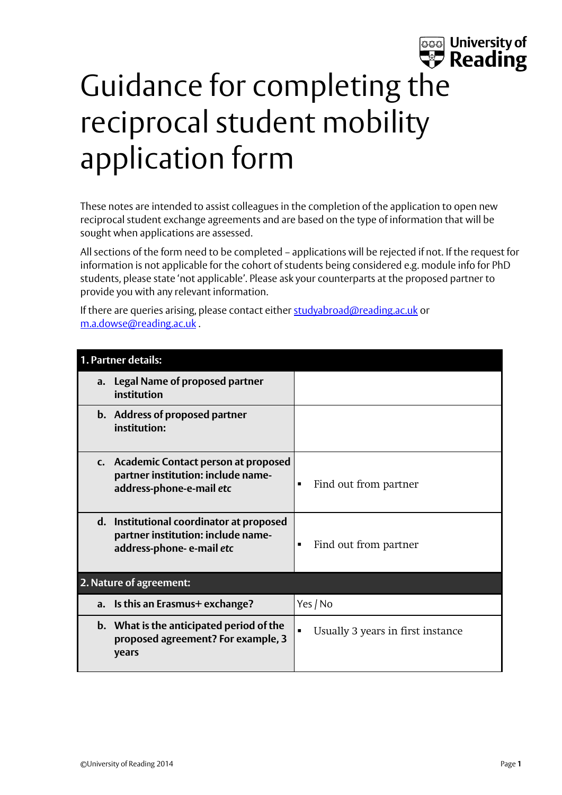## **ssa** University of<br> **P** Reading Guidance for completing the reciprocal student mobility application form

These notes are intended to assist colleagues in the completion of the application to open new reciprocal student exchange agreements and are based on the type of information that will be sought when applications are assessed.

All sections of the form need to be completed – applications will be rejected if not. If the request for information is not applicable for the cohort of students being considered e.g. module info for PhD students, please state 'not applicable'. Please ask your counterparts at the proposed partner to provide you with any relevant information.

If there are queries arising, please contact either [studyabroad@reading.ac.uk](mailto:studyabroad@reading.ac.uk) or [m.a.dowse@reading.ac.uk](mailto:m.a.dowse@reading.ac.uk) .

| 1. Partner details: |                                                                                                            |                                   |
|---------------------|------------------------------------------------------------------------------------------------------------|-----------------------------------|
| a.                  | <b>Legal Name of proposed partner</b><br>institution                                                       |                                   |
|                     | b. Address of proposed partner<br>institution:                                                             |                                   |
|                     | c. Academic Contact person at proposed<br>partner institution: include name-<br>address-phone-e-mail etc   | Find out from partner             |
|                     | d. Institutional coordinator at proposed<br>partner institution: include name-<br>address-phone-e-mail etc | Find out from partner             |
|                     | 2. Nature of agreement:                                                                                    |                                   |
| a.                  | Is this an Erasmus+ exchange?                                                                              | Yes / No                          |
|                     | b. What is the anticipated period of the<br>proposed agreement? For example, 3<br>years                    | Usually 3 years in first instance |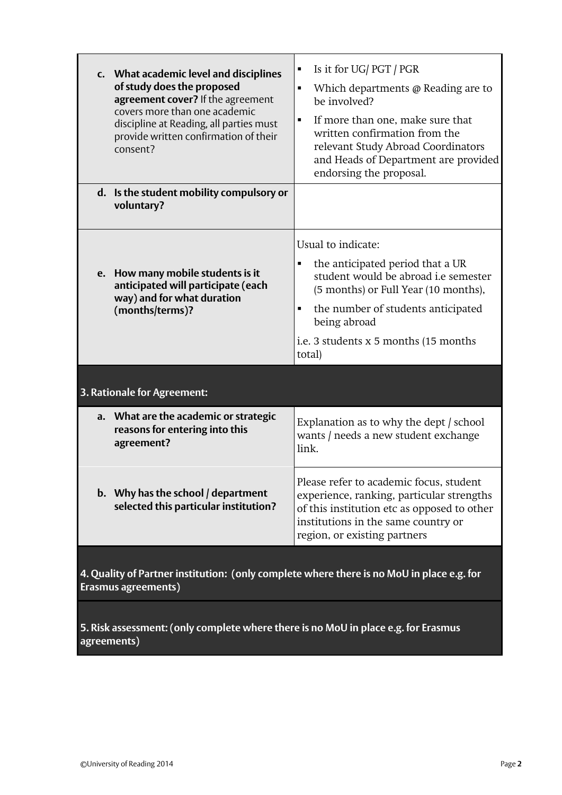|                             | c. What academic level and disciplines<br>of study does the proposed<br>agreement cover? If the agreement<br>covers more than one academic<br>discipline at Reading, all parties must<br>provide written confirmation of their<br>consent? | Is it for UG/PGT/PGR<br>Which departments @ Reading are to<br>be involved?<br>If more than one, make sure that<br>written confirmation from the<br>relevant Study Abroad Coordinators<br>and Heads of Department are provided<br>endorsing the proposal. |
|-----------------------------|--------------------------------------------------------------------------------------------------------------------------------------------------------------------------------------------------------------------------------------------|----------------------------------------------------------------------------------------------------------------------------------------------------------------------------------------------------------------------------------------------------------|
|                             | d. Is the student mobility compulsory or<br>voluntary?                                                                                                                                                                                     |                                                                                                                                                                                                                                                          |
| e.                          | How many mobile students is it<br>anticipated will participate (each<br>way) and for what duration<br>(months/terms)?                                                                                                                      | Usual to indicate:<br>the anticipated period that a UR<br>student would be abroad <i>i.e</i> semester<br>(5 months) or Full Year (10 months),<br>the number of students anticipated<br>being abroad<br>i.e. 3 students x 5 months (15 months)<br>total)  |
| 3. Rationale for Agreement: |                                                                                                                                                                                                                                            |                                                                                                                                                                                                                                                          |
|                             | a. What are the academic or strategic<br>reasons for entering into this<br>agreement?                                                                                                                                                      | Explanation as to why the dept / school<br>wants / needs a new student exchange<br>link.                                                                                                                                                                 |
|                             | b. Why has the school / department<br>selected this particular institution?                                                                                                                                                                | Please refer to academic focus, student<br>experience, ranking, particular strengths<br>of this institution etc as opposed to other<br>institutions in the same country or<br>region, or existing partners                                               |
|                             | 4. Quality of Dartner institutions (only complete whore there is no Mell in place                                                                                                                                                          |                                                                                                                                                                                                                                                          |

**4. Quality of Partner institution: (only complete where there is no MoU in place e.g. for Erasmus agreements)**

**5. Risk assessment: (only complete where there is no MoU in place e.g. for Erasmus agreements)**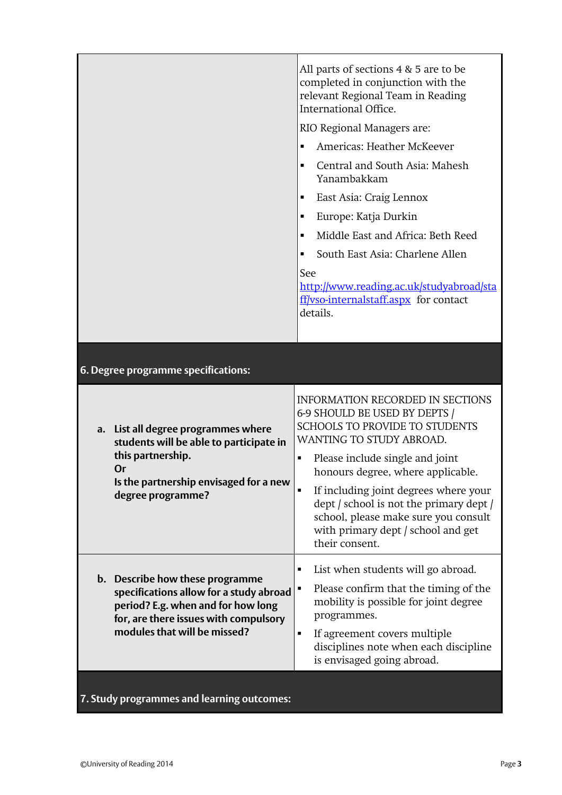|                                                                                                                                                                                           | All parts of sections 4 & 5 are to be<br>completed in conjunction with the<br>relevant Regional Team in Reading<br>International Office.<br>RIO Regional Managers are:<br>Americas: Heather McKeever<br>$\blacksquare$<br>Central and South Asia: Mahesh<br>$\blacksquare$<br>Yanambakkam<br>East Asia: Craig Lennox<br>٠<br>Europe: Katja Durkin<br>٠<br>Middle East and Africa: Beth Reed<br>$\blacksquare$<br>South East Asia: Charlene Allen<br>See<br>http://www.reading.ac.uk/studyabroad/sta<br>ff/vso-internalstaff.aspx for contact<br>details. |
|-------------------------------------------------------------------------------------------------------------------------------------------------------------------------------------------|----------------------------------------------------------------------------------------------------------------------------------------------------------------------------------------------------------------------------------------------------------------------------------------------------------------------------------------------------------------------------------------------------------------------------------------------------------------------------------------------------------------------------------------------------------|
| 6. Degree programme specifications:                                                                                                                                                       |                                                                                                                                                                                                                                                                                                                                                                                                                                                                                                                                                          |
| List all degree programmes where<br>a.<br>students will be able to participate in<br>this partnership.<br>Or<br>Is the partnership envisaged for a new<br>degree programme?               | <b>INFORMATION RECORDED IN SECTIONS</b><br>6-9 SHOULD BE USED BY DEPTS /<br><b>SCHOOLS TO PROVIDE TO STUDENTS</b><br>WANTING TO STUDY ABROAD.<br>Please include single and joint<br>Ξ<br>honours degree, where applicable.<br>If including joint degrees where your<br>dept / school is not the primary dept /<br>school, please make sure you consult<br>with primary dept / school and get<br>their consent.                                                                                                                                           |
| b. Describe how these programme<br>specifications allow for a study abroad<br>period? E.g. when and for how long<br>for, are there issues with compulsory<br>modules that will be missed? | List when students will go abroad.<br>п<br>Please confirm that the timing of the<br>mobility is possible for joint degree<br>programmes.<br>If agreement covers multiple<br>Ξ<br>disciplines note when each discipline<br>is envisaged going abroad.                                                                                                                                                                                                                                                                                                     |

## **7. Study programmes and learning outcomes:**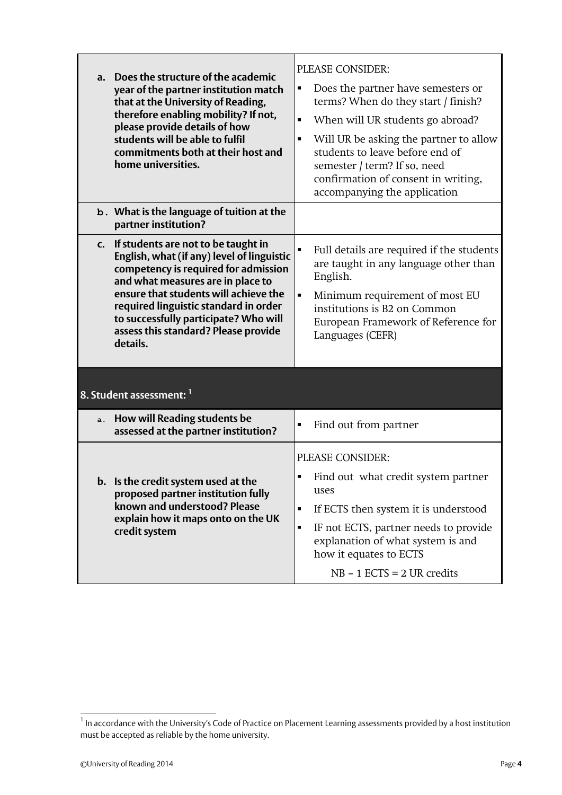| a. | Does the structure of the academic<br>year of the partner institution match<br>that at the University of Reading,<br>therefore enabling mobility? If not,<br>please provide details of how<br>students will be able to fulfil<br>commitments both at their host and<br>home universities.                                                     | PLEASE CONSIDER:<br>Does the partner have semesters or<br>terms? When do they start / finish?<br>When will UR students go abroad?<br>٠<br>Will UR be asking the partner to allow<br>٠<br>students to leave before end of<br>semester / term? If so, need<br>confirmation of consent in writing,<br>accompanying the application |
|----|-----------------------------------------------------------------------------------------------------------------------------------------------------------------------------------------------------------------------------------------------------------------------------------------------------------------------------------------------|---------------------------------------------------------------------------------------------------------------------------------------------------------------------------------------------------------------------------------------------------------------------------------------------------------------------------------|
|    | b. What is the language of tuition at the<br>partner institution?                                                                                                                                                                                                                                                                             |                                                                                                                                                                                                                                                                                                                                 |
| C. | If students are not to be taught in<br>English, what (if any) level of linguistic<br>competency is required for admission<br>and what measures are in place to<br>ensure that students will achieve the<br>required linguistic standard in order<br>to successfully participate? Who will<br>assess this standard? Please provide<br>details. | Full details are required if the students<br>are taught in any language other than<br>English.<br>Minimum requirement of most EU<br>$\blacksquare$<br>institutions is B2 on Common<br>European Framework of Reference for<br>Languages (CEFR)                                                                                   |
|    | 8. Student assessment: 1                                                                                                                                                                                                                                                                                                                      |                                                                                                                                                                                                                                                                                                                                 |
| a. | How will Reading students be<br>assessed at the partner institution?                                                                                                                                                                                                                                                                          | Find out from partner<br>Ξ                                                                                                                                                                                                                                                                                                      |
| b. | Is the credit system used at the<br>proposed partner institution fully<br>known and understood? Please<br>explain how it maps onto on the UK<br>credit system                                                                                                                                                                                 | PLEASE CONSIDER:<br>Find out what credit system partner<br>uses<br>If ECTS then system it is understood<br>٠<br>IF not ECTS, partner needs to provide<br>٠<br>explanation of what system is and<br>how it equates to ECTS<br>$NB - 1$ ECTS = 2 UR credits                                                                       |

 1 In accordance with the University's Code of Practice on Placement Learning assessments provided by a host institution must be accepted as reliable by the home university.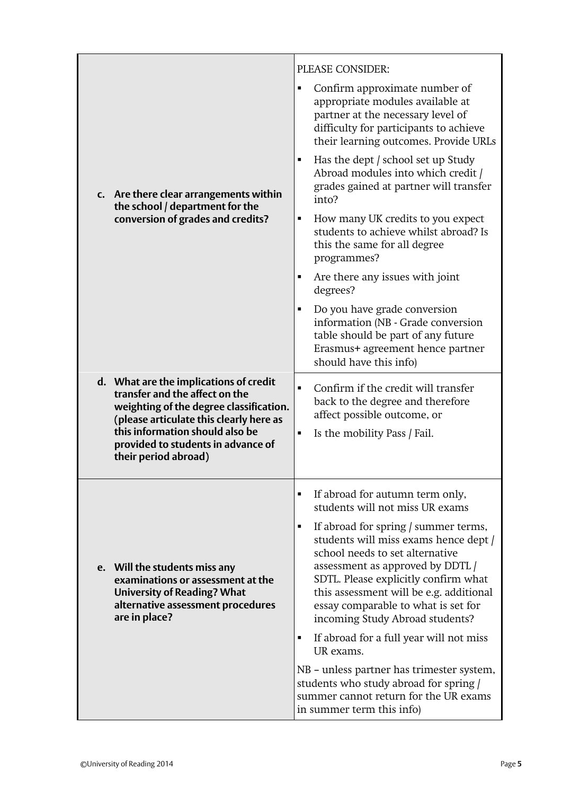|                                                                                                                                                                | PLEASE CONSIDER:                                                                                                                                                                                                                                                                                                       |
|----------------------------------------------------------------------------------------------------------------------------------------------------------------|------------------------------------------------------------------------------------------------------------------------------------------------------------------------------------------------------------------------------------------------------------------------------------------------------------------------|
|                                                                                                                                                                | Confirm approximate number of<br>٠<br>appropriate modules available at<br>partner at the necessary level of<br>difficulty for participants to achieve<br>their learning outcomes. Provide URLs                                                                                                                         |
| c. Are there clear arrangements within<br>the school / department for the                                                                                      | Has the dept / school set up Study<br>$\blacksquare$<br>Abroad modules into which credit /<br>grades gained at partner will transfer<br>into?                                                                                                                                                                          |
| conversion of grades and credits?                                                                                                                              | How many UK credits to you expect<br>٠<br>students to achieve whilst abroad? Is<br>this the same for all degree<br>programmes?                                                                                                                                                                                         |
|                                                                                                                                                                | Are there any issues with joint<br>٠<br>degrees?                                                                                                                                                                                                                                                                       |
|                                                                                                                                                                | Do you have grade conversion<br>٠<br>information (NB - Grade conversion<br>table should be part of any future<br>Erasmus+ agreement hence partner<br>should have this info)                                                                                                                                            |
| d. What are the implications of credit<br>transfer and the affect on the<br>weighting of the degree classification.<br>(please articulate this clearly here as | Confirm if the credit will transfer<br>$\blacksquare$<br>back to the degree and therefore<br>affect possible outcome, or                                                                                                                                                                                               |
| this information should also be<br>provided to students in advance of<br>their period abroad)                                                                  | Is the mobility Pass / Fail.<br>٠                                                                                                                                                                                                                                                                                      |
|                                                                                                                                                                | If abroad for autumn term only,<br>٠<br>students will not miss UR exams                                                                                                                                                                                                                                                |
| e. Will the students miss any<br>examinations or assessment at the<br><b>University of Reading? What</b><br>alternative assessment procedures<br>are in place? | If abroad for spring / summer terms,<br>٠<br>students will miss exams hence dept /<br>school needs to set alternative<br>assessment as approved by DDTL /<br>SDTL. Please explicitly confirm what<br>this assessment will be e.g. additional<br>essay comparable to what is set for<br>incoming Study Abroad students? |
|                                                                                                                                                                | If abroad for a full year will not miss<br>٠<br>UR exams.                                                                                                                                                                                                                                                              |
|                                                                                                                                                                | NB - unless partner has trimester system,<br>students who study abroad for spring /<br>summer cannot return for the UR exams<br>in summer term this info)                                                                                                                                                              |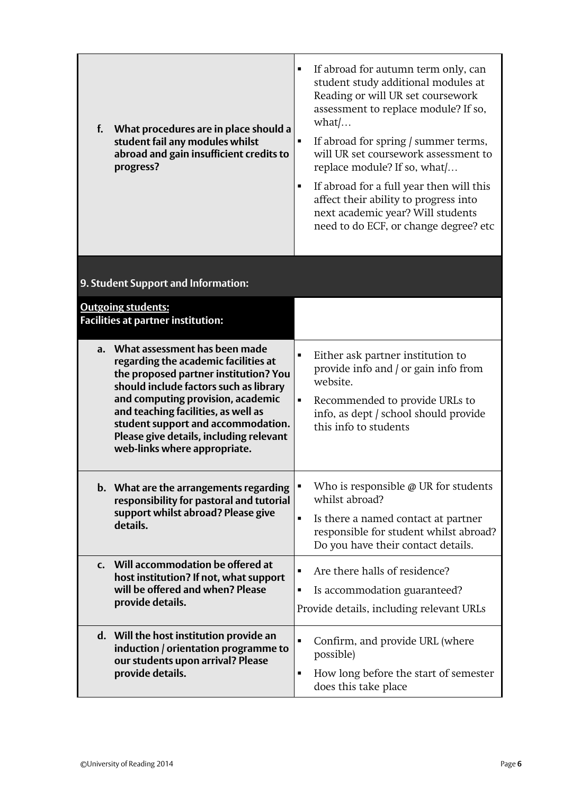| f.<br>What procedures are in place should a<br>student fail any modules whilst<br>abroad and gain insufficient credits to<br>progress?                                                                                                                                                                                                                   | If abroad for autumn term only, can<br>٠<br>student study additional modules at<br>Reading or will UR set coursework<br>assessment to replace module? If so,<br>$\text{what}/\dots$<br>If abroad for spring / summer terms,<br>will UR set coursework assessment to<br>replace module? If so, what/<br>If abroad for a full year then will this<br>٠<br>affect their ability to progress into<br>next academic year? Will students<br>need to do ECF, or change degree? etc |
|----------------------------------------------------------------------------------------------------------------------------------------------------------------------------------------------------------------------------------------------------------------------------------------------------------------------------------------------------------|-----------------------------------------------------------------------------------------------------------------------------------------------------------------------------------------------------------------------------------------------------------------------------------------------------------------------------------------------------------------------------------------------------------------------------------------------------------------------------|
| 9. Student Support and Information:                                                                                                                                                                                                                                                                                                                      |                                                                                                                                                                                                                                                                                                                                                                                                                                                                             |
| <b>Outgoing students:</b><br><b>Facilities at partner institution:</b>                                                                                                                                                                                                                                                                                   |                                                                                                                                                                                                                                                                                                                                                                                                                                                                             |
| a. What assessment has been made<br>regarding the academic facilities at<br>the proposed partner institution? You<br>should include factors such as library<br>and computing provision, academic<br>and teaching facilities, as well as<br>student support and accommodation.<br>Please give details, including relevant<br>web-links where appropriate. | Either ask partner institution to<br>provide info and / or gain info from<br>website.<br>Recommended to provide URLs to<br>info, as dept / school should provide<br>this info to students                                                                                                                                                                                                                                                                                   |
| b. What are the arrangements regarding<br>responsibility for pastoral and tutorial<br>support whilst abroad? Please give<br>details.                                                                                                                                                                                                                     | Who is responsible $\varphi$ UR for students<br>whilst abroad?<br>Is there a named contact at partner<br>$\blacksquare$<br>responsible for student whilst abroad?<br>Do you have their contact details.                                                                                                                                                                                                                                                                     |
| c. Will accommodation be offered at<br>host institution? If not, what support<br>will be offered and when? Please<br>provide details.                                                                                                                                                                                                                    | Are there halls of residence?<br>Is accommodation guaranteed?<br>٠<br>Provide details, including relevant URLs                                                                                                                                                                                                                                                                                                                                                              |
| d. Will the host institution provide an<br>induction / orientation programme to<br>our students upon arrival? Please<br>provide details.                                                                                                                                                                                                                 | $\blacksquare$<br>Confirm, and provide URL (where<br>possible)<br>How long before the start of semester<br>$\blacksquare$<br>does this take place                                                                                                                                                                                                                                                                                                                           |